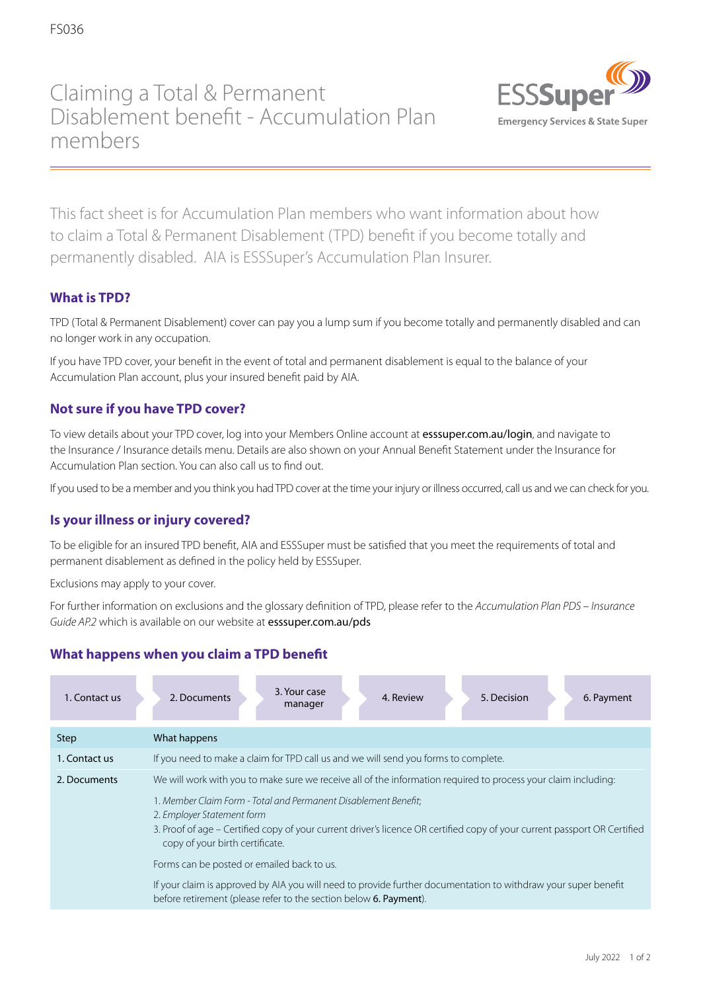## Claiming a Total & Permanent Disablement benefit - Accumulation Plan members



This fact sheet is for Accumulation Plan members who want information about how to claim a Total & Permanent Disablement (TPD) benefit if you become totally and permanently disabled. AIA is ESSSuper's Accumulation Plan Insurer.

## **What is TPD?**

TPD (Total & Permanent Disablement) cover can pay you a lump sum if you become totally and permanently disabled and can no longer work in any occupation.

If you have TPD cover, your benefit in the event of total and permanent disablement is equal to the balance of your Accumulation Plan account, plus your insured benefit paid by AIA.

## **Not sure if you have TPD cover?**

To view details about your TPD cover, log into your Members Online account at [esssuper.com.au/login](http://esssuper.com.au/login), and navigate to the Insurance / Insurance details menu. Details are also shown on your Annual Benefit Statement under the Insurance for Accumulation Plan section. You can also call us to find out.

If you used to be a member and you think you had TPD cover at the time your injury or illness occurred, call us and we can check for you.

### **Is your illness or injury covered?**

To be eligible for an insured TPD benefit, AIA and ESSSuper must be satisfied that you meet the requirements of total and permanent disablement as defined in the policy held by ESSSuper.

Exclusions may apply to your cover.

For further information on exclusions and the glossary definition of TPD, please refer to the *Accumulation Plan PDS – Insurance Guide AP.2* which is available on our website at [esssuper.com.au/pds](http://esssuper.com.au/pds)

## **What happens when you claim a TPD benefit**

| 1. Contact us | 3. Your case<br>2. Documents<br>4. Review<br>5. Decision<br>6. Payment<br>manager                                                                                                                                                                             |
|---------------|---------------------------------------------------------------------------------------------------------------------------------------------------------------------------------------------------------------------------------------------------------------|
| <b>Step</b>   | What happens                                                                                                                                                                                                                                                  |
| 1. Contact us | If you need to make a claim for TPD call us and we will send you forms to complete.                                                                                                                                                                           |
| 2. Documents  | We will work with you to make sure we receive all of the information required to process your claim including:                                                                                                                                                |
|               | 1. Member Claim Form - Total and Permanent Disablement Benefit;<br>2. Employer Statement form<br>3. Proof of age – Certified copy of your current driver's licence OR certified copy of your current passport OR Certified<br>copy of your birth certificate. |
|               | Forms can be posted or emailed back to us.                                                                                                                                                                                                                    |
|               | If your claim is approved by AIA you will need to provide further documentation to withdraw your super benefit<br>before retirement (please refer to the section below 6. Payment).                                                                           |